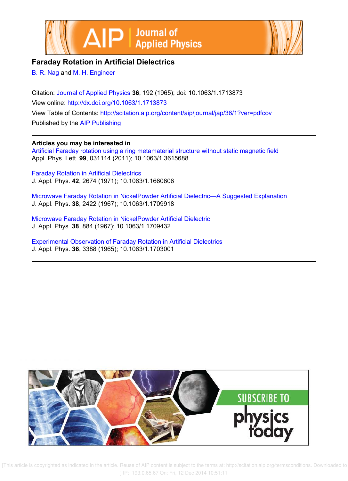



# **Faraday Rotation in Artificial Dielectrics**

B. R. Nag and M. H. Engineer

Citation: Journal of Applied Physics **36**, 192 (1965); doi: 10.1063/1.1713873 View online: http://dx.doi.org/10.1063/1.1713873 View Table of Contents: http://scitation.aip.org/content/aip/journal/jap/36/1?ver=pdfcov Published by the AIP Publishing

## **Articles you may be interested in**

Artificial Faraday rotation using a ring metamaterial structure without static magnetic field Appl. Phys. Lett. **99**, 031114 (2011); 10.1063/1.3615688

Faraday Rotation in Artificial Dielectrics J. Appl. Phys. **42**, 2674 (1971); 10.1063/1.1660606

Microwave Faraday Rotation in NickelPowder Artificial Dielectric—A Suggested Explanation J. Appl. Phys. **38**, 2422 (1967); 10.1063/1.1709918

Microwave Faraday Rotation in NickelPowder Artificial Dielectric J. Appl. Phys. **38**, 884 (1967); 10.1063/1.1709432

Experimental Observation of Faraday Rotation in Artificial Dielectrics J. Appl. Phys. **36**, 3388 (1965); 10.1063/1.1703001



 [This article is copyrighted as indicated in the article. Reuse of AIP content is subject to the terms at: http://scitation.aip.org/termsconditions. Downloaded to ] IP: 193.0.65.67 On: Fri, 12 Dec 2014 10:51:11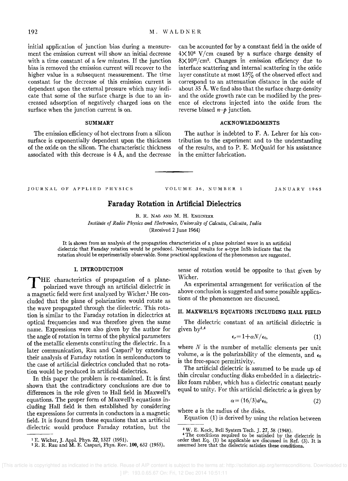initial application of junction bias during a measurement the emission current will show an initial decrease with a time constant of a few minutes. If the junction bias is removed the emission current will recover to the higher value in a subsequent measurement. The time constant for the decrease of this emission current is dependent upon the external pressure which may indicate that some of the surface charge is due to an increased adsorption of negatively charged ions on the surface when the junction current is on.

### **SUMMARY**

The emission efficiency of hot electrons from a silicon surface is exponentially dependent upon the thickness of the oxide on the silicon. The characteristic thickness associated with this decrease is  $4 \text{ Å}$ , and the decrease

can be accounted for by a constant field in the oxide of  $4 \times 10^6$  V/cm caused by a surface charge density of  $8 \times 10^{12}$ /cm<sup>2</sup>. Changes in emission efficiency due to interface scattering and internal scattering in the oxide layer constitute at most  $15\%$  of the observed effect and correspond to an attenuation distance in the oxide of about 35 A. We find also that the surface charge density and the oxide growth rate can be modified by the presence of electrons injected into the oxide from the reverse biased *n-p* junction.

### ACKNOWLEDGMENTS

The author is indebted to F. A. Lehrer for his contribution to the experiment and to the understanding of the results, and to P. E. McQuaid for his assistance in the emitter fabrication.

JOURNAL OF APPLIED PHYSICS VOLUME 36. NUMBER 1 JANUARY 1965

### **Faraday Rotation in Artificial Dielectrics**

B. R. NAG AND M. H. ENGINEER

*Institute of Radio Physics and Electronics, University of Calcutta, Calcutta, India*  (Received 2 June 1964)

It is shown from an analysis of the propagation characteristics of a plane polarized wave in an artificial dielectric that Faraday rotation would be produced. Numerical results for *n-type* InSb indicate that the rotation should be experimentally observable. Some practical applications of the phenomenon are suggested.

### 1. INTRODUCTION

 $\mathbf T$ HE characteristics of propagation of a planepolarized wave through an artificial dielectric in a magnetic field were first analyzed by Wicher.<sup>1</sup> He concluded that the plane of polarization would rotate as the wave propagated through the dielectric. This rotation is similar to the Faraday rotation in dielectrics at optical frequencies and was therefore given the same name. Expressions were also given by the author for the angle of rotation in terms of the physical parameters of the metallic elements constituting the dielectric. In a later communication, Rau and Caspari2 by extending their analysis of Faraday rotation in semiconductors to the case of artificial dielectrics concluded that no rotation would be produced in artificial dielectrics.

In this paper the problem is re-examined. It is first shown that the contradictory conclusions are due to differences in the role given to Hall field in Maxwell's equations. The proper form of Maxwell's equations including Hall field is then established by considering the expressions for currents in conductors in a magnetic field. It is found from these equations that an artificial dielectric would produce Faraday rotation, but the sense of rotation would be opposite to that given by Wicher.

An experimental arrangement for verification of the above conclusion is suggested and some possible applications of the phenomenon are discussed.

### II. MAXWELL'S EQUATIONS INCLUDING HALL FIELD

The dielectric constant of an artificial dielectric is given  $by<sup>3,4</sup>$ 

$$
\epsilon_r = 1 + \alpha N / \epsilon_0, \qquad (1)
$$

where  $N$  is the number of metallic elements per unit volume,  $\alpha$  is the polarizability of the elements, and  $\epsilon_0$ is the free-space permittivity.

The artificial dielectric is assumed to be made up of thin circular conducting disks embedded in a dielectriclike foam rubber, which has a dielectric constant nearly equal to unity. For this artificial dielectric  $\alpha$  is given by

$$
\alpha = (16/3)a^3 \epsilon_0, \tag{2}
$$

where  $a$  is the radius of the disks.

Equation (1) is derived by using the relation between

<sup>4</sup> The conditions required to be satisfied by the dielectric in order that Eq.  $(1)$  be applicable are discussed in Ref.  $(3)$ . It is assumed here that the dielectric satisfies these conditions.

<sup>&</sup>lt;sup>1</sup> E. Wicher, J. Appl. Phys. 22, 1327 (1951).<br><sup>2</sup> R. R. Rau and M. E. Caspari, Phys. Rev. 100, 632 (1955).

<sup>3</sup>W. E. Kock, Bell System Tech. J. 27, 58 (1948).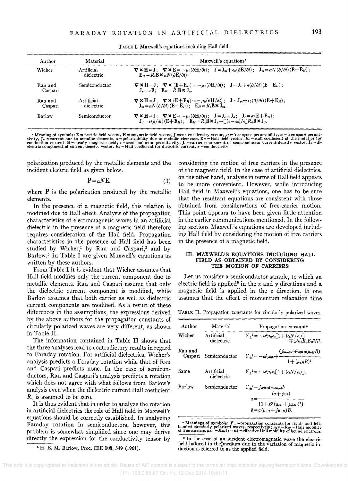| Author             | Material                 | Maxwell's equations <sup>a</sup>                                                                                                                                                                                                                                                                                                                                    |  |  |
|--------------------|--------------------------|---------------------------------------------------------------------------------------------------------------------------------------------------------------------------------------------------------------------------------------------------------------------------------------------------------------------------------------------------------------------|--|--|
| Wicher             | Artificial<br>dielectric | $\nabla \times \mathbf{H} = \mathbf{J}; \quad \nabla \times \mathbf{E} = -\mu_0(\partial \mathbf{H}/\partial t); \quad \mathbf{J} = \mathbf{J}_m + \epsilon_0(\partial \mathbf{E}/\partial t); \quad \mathbf{J}_m = \alpha N(\partial/\partial t)(\mathbf{E} + \mathbf{E}_H);$<br>$\mathbf{E}_B = R_c \mathbf{B} \times \alpha N (\partial \mathbf{E}/\partial t).$ |  |  |
| Rau and<br>Caspari | Semiconductor            | $\nabla \times \mathbf{H} = \mathbf{J}$ ; $\nabla \times (\mathbf{E} + \mathbf{E}_H) = -\mu_0(\partial \mathbf{H}/\partial t)$ ; $\mathbf{J} = \mathbf{J}_c + \epsilon(\partial/\partial t)(\mathbf{E} + \mathbf{E}_H)$ ;<br>$J_{c} = \sigma E$ : $E_{H} = R_{c} B \times J_{c}$ .                                                                                  |  |  |
| Rau and<br>Caspari | Artificial<br>dielectric | $\nabla \times H = J$ : $\nabla \times (E + E_H) = -\mu_0(\partial H/\partial t)$ ; $J = J_m + \epsilon_0(\partial/\partial t) (E + E_H)$ ;<br>$J_m = \alpha N(\partial/\partial t)$ (E+E <sub>H</sub> ): E <sub>H</sub> = R <sub>c</sub> B×J <sub>m</sub> .                                                                                                        |  |  |
| Barlow             | Semiconductor            | $\nabla \times H = J; \quad \nabla \times E = -\mu_0 (\partial H / \partial t); \quad J = J_c + J_d; \quad J_c = \sigma (E + E_H);$<br>$J_d = \epsilon (\partial/\partial t) (E + E_H); \quad E_H = R_c B \times J_c + \int (\epsilon - \epsilon_0)/\epsilon R_d B \times J_d.$                                                                                     |  |  |

TABLE 1. Maxwell's equations including Hall field.

**Example 19 Alternativity,**  $J_m$  = free-space permeability, so =free-space permittivity,  $J_m$  = current due to metallic elements,  $\alpha$  = polarizability due to metallic elements,  $E_H$  = Hall field vector,  $R_c$  = Hall coeff

polarization produced by the metallic elements and the incident electric field as given below.

$$
P = \alpha N E, \tag{3}
$$

where  $P$  is the polarization produced by the metallic elements.

In the presence of a magnetic field, this relation is modified due to Hall effect. Analysis of the propagation characteristics of electromagnetic waves in an artificial dielectric in the presence of a magnetic field therefore requires consideration of the Hall field. Propagation characteristics in the presence of Hall field has been studied by Wicher,<sup>1</sup> by Rau and Caspari,<sup>2</sup> and by Barlow.5 In Table I are given Maxwell's equations as written by these authors.

From Table I it is evident that Wicher assumes that Hall field modifies only the current component due to metallic elements. Rau and Caspari assume that only the dielectric current component is modified, while Barlow assumes that both carrier as well as dielectric current components are modified. As a result of these differences in the assumptions, the expressions derived by the above authors for the propagation constants of circularly polarized waves are very different, as shown in Table II.

The information contained in Table II shows that the three analyses lead to contradictory results in regard to Faraday rotation. For artificial dielectrics, Wicher's analysis predicts a Faraday rotation while that of Rau and Caspari predicts none. In the case of semiconductors, Rau and Caspari's analysis predicts a rotation which does not agree with what follows from Barlow's analysis even when the dielectric current Hall coefficient  $R_d$  is assumed to be zero.

It is thus evident that in order to analyze the rotation in artificial dielectrics the role of Hall field in Maxwell's equations should be correctly established. In analyzing Faraday rotation in semiconductors, however, this problem is somewhat simplified since one may derive directly the expression for the conductivity tensor by

<sup>5</sup> H. E. M. Barlow, Proc. IEE 108, 349 (1961).

considering the motion of free carriers in the presence of the magnetic field. In the case of artificial dielectrics, on the other hand, analysis in terms of Hall field appears to be more convenient. However, while introducing Hall field in Maxwell's equations, one has to be sure that the resultant equations are consistent with those obtained from considerations of free-carrier motion. This point appears to have been given little attention in the earlier communications mentioned. In the following sections Maxwell's equations are developed including Hall field by considering the motion of free carriers in the presence of a magnetic field.

#### III. MAXWELVS EQUATIONS INCLUDING HALL FIELD AS OBTAINED BY CONSIDERING THE MOTION OF CARRIERS

Let us consider a semiconductor sample, to which an electric field is applied<sup>6</sup> in the *x* and *y* directions and a magnetic field is applied in the *z* direction. If one assumes that the effect of momentum relaxation time

TABLE II. Propagation constants for circularly polarized waves.

| Author             | Material                 | Propagation constant <sup>a</sup>                                                                                                    |  |  |
|--------------------|--------------------------|--------------------------------------------------------------------------------------------------------------------------------------|--|--|
| Wicher             | Artificial<br>dielectric | $Y_{\pm}^2 = -\omega^2 \mu_0 \epsilon_0 [1 + (\alpha N/\epsilon_0)]$<br>$\pm \omega^3 \mu_0 R_2 B \alpha^2 N^2$ .                    |  |  |
| Rau and<br>Caspari | Semiconductor            | $\label{eq:Y} Y_\pm{}^2\!=-\omega^2\mu_0\epsilon\!+\!\frac{(j\omega\mu_0\sigma\mp\omega\mu_0\sigma\mu_{eH}B)}{1\!+\!(\mu_{eH}B)^2}.$ |  |  |
|                    |                          |                                                                                                                                      |  |  |
| Same               | Artificial<br>dielectric | $Y_+^2 = -\omega^2 \mu_0 \epsilon_0 \left[ 1 + (\alpha N/\epsilon_0) \right]$                                                        |  |  |
| Barlow             | Semiconductor            | $Y_{+}^2 = j\omega\mu_0 a \pm \omega\mu_0 b$<br>$(\sigma + i\omega\epsilon)$                                                         |  |  |
|                    |                          | $\{1+B^2(\mu_{cH}+j\mu_{dH})^2\}$<br>$b = a(\mu_{cH} + i\mu_{dH})B$ .                                                                |  |  |

**A Meanings of symbols:**  $Y_{\pm}$ =propagation constants for right- and left-<br>handed circularly polarized waves, respectively;  $\mu_{eff} = R_{\sigma\sigma} = \text{Hall}$  the flall mobility polarized of free carriers,  $\mu_{eff} = R_{d\omega}(\epsilon - \epsilon_0)$  = ef

<sup>6</sup> In the case of an incident electromagnetic wave the electric field induced in the medium due to the variation of magnetic induction is referred to as the applied field.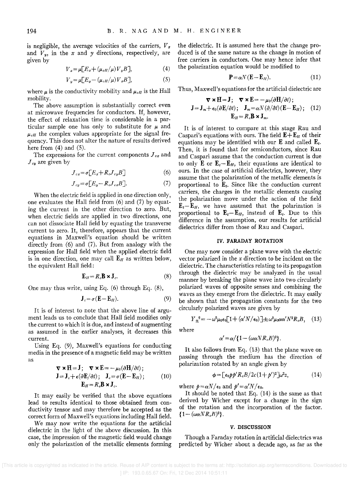is negligible, the average velocities of the carriers,  $V_x$ and  $V_y$ , in the *x* and *y* directions, respectively, are given by

$$
V_x = \mu \left[ E_x + (\mu_{\text{eff}}/\mu) V_y B \right], \tag{4}
$$

$$
V_y = \mu \left[ E_y - \left( \mu_{cH} / \mu \right) V_x B \right],\tag{5}
$$

where  $\mu$  is the conductivity mobility and  $\mu_{\ell}$  is the Hall mobility.

The above assumption is substantially correct even at microwave frequencies for conductors. If, however, the effect of relaxation time is considerable in a particular sample one has only to substitute for  $\mu$  and  $\mu_{\text{eff}}$  the complex values appropriate for the signal frequency. This does not alter the nature of results derived here from  $(4)$  and  $(5)$ .

The expressions for the current components  $J_{cx}$  and  $J_{cy}$  are given by

$$
J_{cx} = \sigma \left[ E_x + R_c J_{cy} B \right] \tag{6}
$$

$$
J_{cy} = \sigma \left[ E_y - R_c J_{cx} B \right]. \tag{7}
$$

When the electric field is applied in one direction only, one evaluates the Hall field from (6) and (7) byequating the current in the other direction to zero. But, when electric fields are applied in two directions, one can not dissociate Hall field by equating the transverse current to zero. It, therefore, appears that the current equations in Maxwell's equation should be written directly from (6) and (7). But from analogy with the expression for Hall field when the applied electric field is in one direction, one may call  $E_H$  as written below, the equivalent Hall field:

$$
\mathbf{E}_H = R_c \mathbf{B} \times \mathbf{J}_c. \tag{8}
$$

One may thus write, using Eq.  $(6)$  through Eq.  $(8)$ ,

$$
\mathbf{J}_c = \sigma(\mathbf{E} - \mathbf{E}_H). \tag{9}
$$

It is of interest to note that the above line of argument leads us to conclude that Hall field modifies only the current to which it is due, and instead of augmenting as assumed in the earlier analyses, it decreases this current.

Using Eq. (9), Maxwell's equations for conducting media in the presence of a magnetic field may be written as

$$
\nabla \times \mathbf{H} = \mathbf{J}; \quad \nabla \times \mathbf{E} = -\mu_0 (\partial \mathbf{H} / \partial t); \n\mathbf{J} = \mathbf{J}_c + \epsilon (\partial \mathbf{E} / \partial t); \quad \mathbf{J}_c = \sigma (\mathbf{E} - \mathbf{E}_H); \n\mathbf{E}_H = R_c \mathbf{B} \times \mathbf{J}_c.
$$
\n(10)

It may easily be verified that the above equations lead to results identical to those obtained from conductivity tensor and may therefore be accepted as the correct form of Maxwell's equations including Hall field.

We may now write the equations for the artificial dielectric in the light of the above discussion. In this case, the impression of the magnetic field would change only the polarization of the metallic elements forming the dielectric. It is assumed here that the change produced is of the same nature as the change in motion of free carriers in conductors. One may hence infer that the polarization equation would be modified to

$$
\mathbf{P} = \alpha N (\mathbf{E} - \mathbf{E}_H). \tag{11}
$$

Thus, Maxwell's equations for the artificial dielectric are

$$
\nabla \times \mathbf{H} = \mathbf{J}; \quad \nabla \times \mathbf{E} = -\mu_0(\partial \mathbf{H}/\partial t);
$$
  
\n
$$
\mathbf{J} = \mathbf{J}_m + \epsilon_0(\partial \mathbf{E}/\partial t); \quad \mathbf{J}_m = \alpha N(\partial/\partial t)(\mathbf{E} - \mathbf{E}_H); \quad (12)
$$
  
\n
$$
\mathbf{E}_H = R_c \mathbf{B} \times \mathbf{J}_m.
$$

It is of interest to compare at this stage Rau and Caspari's equations with ours. The field  $E + E_H$  of their equations may be identified with our E and called E*t•*  Then, it is found that for semiconductors, since Rau and Caspari assume that the conduction current is due to only **E** or  $\mathbf{E}_t - \mathbf{E}_H$ , their equations are identical to ours. In the case of artificial dielectrics, however, they assume that the polarization of the metallic elements is proportional to  $\mathbf{E}_t$ . Since like the conduction current carriers, the charges in the metallic elements causing the polarization move under the action of the field  $\mathbf{E}_t - \mathbf{E}_H$ , we have assumed that the polarization is proportional to  $\mathbf{E}_t - \mathbf{E}_H$ , instead of  $\mathbf{E}_t$ . Due to this difference in the assumption, our results for artificial dielectrics differ from those of Rau and Caspari.

#### IV. FARADAY ROTATION

One may now consider a plane wave with the electric vector polarized in the *x* direction to be incident on the dielectric. The characteristics relating to its propagation through the dielectric may be analyzed in the usual manner by breaking the plane wave into two circularly polarized waves of opposite senses and combining the waves as they emerge from the dielectric. It may easily be shown that the propagation constants for the two circularly polarized waves are given by

$$
Y_{\pm}^2 = -\omega^2 \mu_0 \epsilon_0 [1 + (\alpha' N/\epsilon_0)] \pm \omega^3 \mu_0 \alpha \alpha' N^2 R_c B, \quad (13)
$$

where

$$
\alpha' = \alpha / \{1 - (\omega \alpha N R_c B)^2\}.
$$

It also follows from Eq. (13) that the plane wave on passing through the medium has the direction of polarization rotated by an angle given by

$$
\phi = \left[\epsilon_0 p p' R_c B / 2c (1 + p')^2\right] \omega^2 z,\tag{14}
$$

where  $p = \alpha N / \epsilon_0$  and  $p' = \alpha' N / \epsilon_0$ .

It should be noted that Eq. (14) is the same as that derived by Wicher except for a change in the sign of the rotation and the incorporation of the factor.  ${1 - (\omega \alpha N R_c B)^2}.$ 

#### V. DISCUSSION

Though a Faraday rotation in artificial dielectrics was predicted by Wicher about a decade ago, as far as the